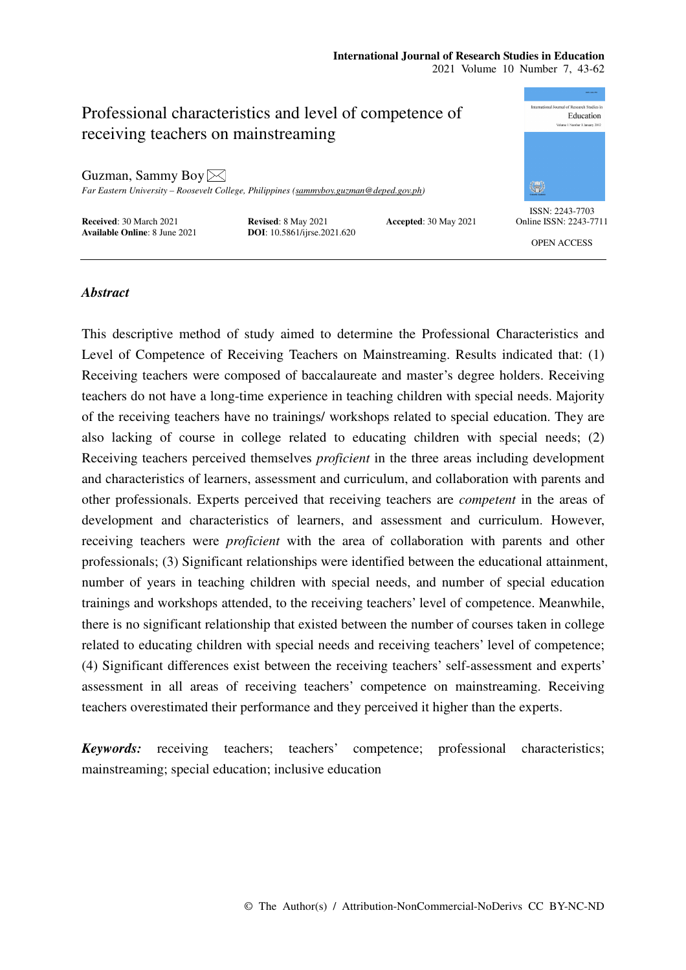### **International Journal of Research Studies in Education**  2021 Volume 10 Number 7, 43-62

ional Journal of Research Studies in Professional characteristics and level of competence of Education receiving teachers on mainstreaming Guzman, Sammy Boy  $\boxtimes$ ₩ *Far Eastern University – Roosevelt College, Philippines (sammyboy.guzman@deped.gov.ph)*  ISSN: 2243-7703 **Received**: 30 March 2021 **Revised**: 8 May 2021 **Accepted**: 30 May 2021 **Available Online**: 8 June 2021 **DOI**: 10.5861/ijrse.2021.620 Online ISSN: 2243-7711

**DOI**: 10.5861/ijrse.2021.620

OPEN ACCESS

# *Abstract*

This descriptive method of study aimed to determine the Professional Characteristics and Level of Competence of Receiving Teachers on Mainstreaming. Results indicated that: (1) Receiving teachers were composed of baccalaureate and master's degree holders. Receiving teachers do not have a long-time experience in teaching children with special needs. Majority of the receiving teachers have no trainings/ workshops related to special education. They are also lacking of course in college related to educating children with special needs; (2) Receiving teachers perceived themselves *proficient* in the three areas including development and characteristics of learners, assessment and curriculum, and collaboration with parents and other professionals. Experts perceived that receiving teachers are *competent* in the areas of development and characteristics of learners, and assessment and curriculum. However, receiving teachers were *proficient* with the area of collaboration with parents and other professionals; (3) Significant relationships were identified between the educational attainment, number of years in teaching children with special needs, and number of special education trainings and workshops attended, to the receiving teachers' level of competence. Meanwhile, there is no significant relationship that existed between the number of courses taken in college related to educating children with special needs and receiving teachers' level of competence; (4) Significant differences exist between the receiving teachers' self-assessment and experts' assessment in all areas of receiving teachers' competence on mainstreaming. Receiving teachers overestimated their performance and they perceived it higher than the experts.

*Keywords:* receiving teachers; teachers' competence; professional characteristics; mainstreaming; special education; inclusive education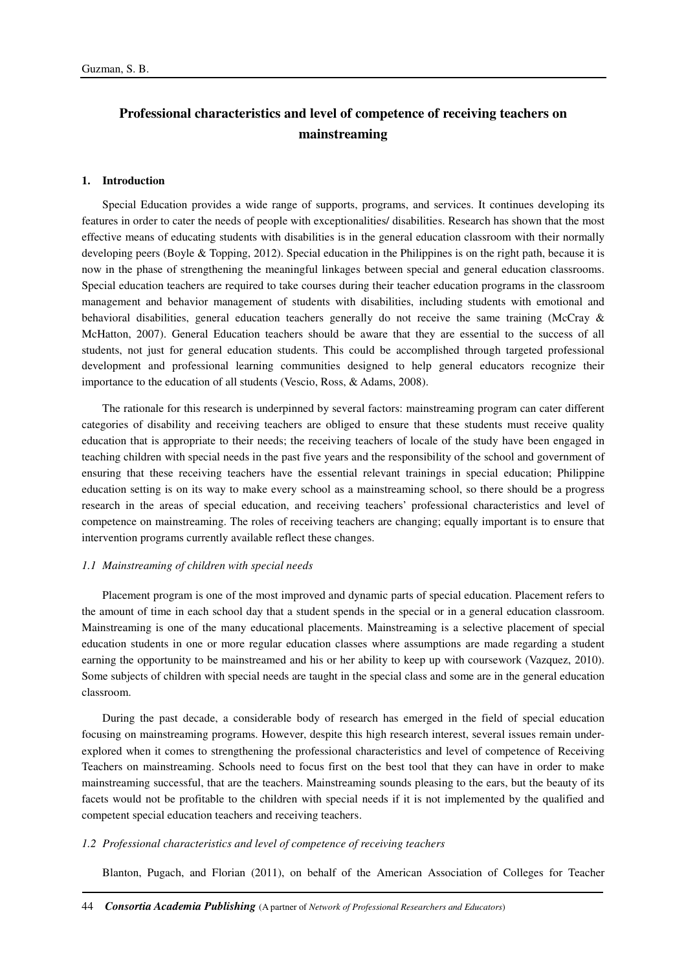# **Professional characteristics and level of competence of receiving teachers on mainstreaming**

#### **1. Introduction**

Special Education provides a wide range of supports, programs, and services. It continues developing its features in order to cater the needs of people with exceptionalities/ disabilities. Research has shown that the most effective means of educating students with disabilities is in the general education classroom with their normally developing peers (Boyle & Topping, 2012). Special education in the Philippines is on the right path, because it is now in the phase of strengthening the meaningful linkages between special and general education classrooms. Special education teachers are required to take courses during their teacher education programs in the classroom management and behavior management of students with disabilities, including students with emotional and behavioral disabilities, general education teachers generally do not receive the same training (McCray & McHatton, 2007). General Education teachers should be aware that they are essential to the success of all students, not just for general education students. This could be accomplished through targeted professional development and professional learning communities designed to help general educators recognize their importance to the education of all students (Vescio, Ross, & Adams, 2008).

The rationale for this research is underpinned by several factors: mainstreaming program can cater different categories of disability and receiving teachers are obliged to ensure that these students must receive quality education that is appropriate to their needs; the receiving teachers of locale of the study have been engaged in teaching children with special needs in the past five years and the responsibility of the school and government of ensuring that these receiving teachers have the essential relevant trainings in special education; Philippine education setting is on its way to make every school as a mainstreaming school, so there should be a progress research in the areas of special education, and receiving teachers' professional characteristics and level of competence on mainstreaming. The roles of receiving teachers are changing; equally important is to ensure that intervention programs currently available reflect these changes.

### *1.1 Mainstreaming of children with special needs*

Placement program is one of the most improved and dynamic parts of special education. Placement refers to the amount of time in each school day that a student spends in the special or in a general education classroom. Mainstreaming is one of the many educational placements. Mainstreaming is a selective placement of special education students in one or more regular education classes where assumptions are made regarding a student earning the opportunity to be mainstreamed and his or her ability to keep up with coursework (Vazquez, 2010). Some subjects of children with special needs are taught in the special class and some are in the general education classroom.

During the past decade, a considerable body of research has emerged in the field of special education focusing on mainstreaming programs. However, despite this high research interest, several issues remain underexplored when it comes to strengthening the professional characteristics and level of competence of Receiving Teachers on mainstreaming. Schools need to focus first on the best tool that they can have in order to make mainstreaming successful, that are the teachers. Mainstreaming sounds pleasing to the ears, but the beauty of its facets would not be profitable to the children with special needs if it is not implemented by the qualified and competent special education teachers and receiving teachers.

#### *1.2 Professional characteristics and level of competence of receiving teachers*

Blanton, Pugach, and Florian (2011), on behalf of the American Association of Colleges for Teacher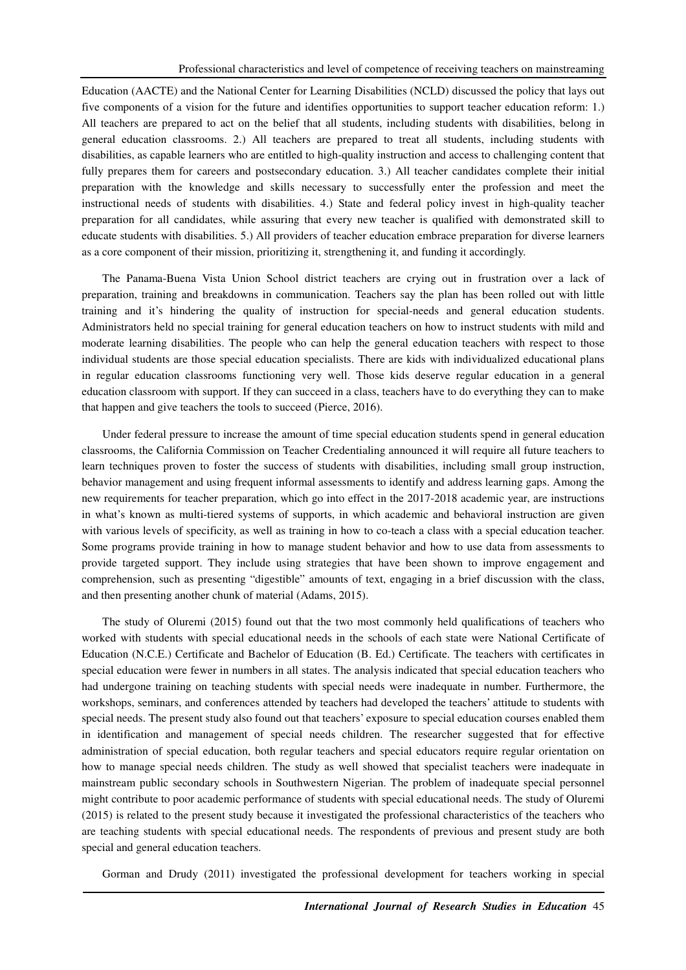Education (AACTE) and the National Center for Learning Disabilities (NCLD) discussed the policy that lays out five components of a vision for the future and identifies opportunities to support teacher education reform: 1.) All teachers are prepared to act on the belief that all students, including students with disabilities, belong in general education classrooms. 2.) All teachers are prepared to treat all students, including students with disabilities, as capable learners who are entitled to high-quality instruction and access to challenging content that fully prepares them for careers and postsecondary education. 3.) All teacher candidates complete their initial preparation with the knowledge and skills necessary to successfully enter the profession and meet the instructional needs of students with disabilities. 4.) State and federal policy invest in high-quality teacher preparation for all candidates, while assuring that every new teacher is qualified with demonstrated skill to educate students with disabilities. 5.) All providers of teacher education embrace preparation for diverse learners as a core component of their mission, prioritizing it, strengthening it, and funding it accordingly.

The Panama-Buena Vista Union School district teachers are crying out in frustration over a lack of preparation, training and breakdowns in communication. Teachers say the plan has been rolled out with little training and it's hindering the quality of instruction for special-needs and general education students. Administrators held no special training for general education teachers on how to instruct students with mild and moderate learning disabilities. The people who can help the general education teachers with respect to those individual students are those special education specialists. There are kids with individualized educational plans in regular education classrooms functioning very well. Those kids deserve regular education in a general education classroom with support. If they can succeed in a class, teachers have to do everything they can to make that happen and give teachers the tools to succeed (Pierce, 2016).

Under federal pressure to increase the amount of time special education students spend in general education classrooms, the California Commission on Teacher Credentialing announced it will require all future teachers to learn techniques proven to foster the success of students with disabilities, including small group instruction, behavior management and using frequent informal assessments to identify and address learning gaps. Among the new requirements for teacher preparation, which go into effect in the 2017-2018 academic year, are instructions in what's known as multi-tiered systems of supports, in which academic and behavioral instruction are given with various levels of specificity, as well as training in how to co-teach a class with a special education teacher. Some programs provide training in how to manage student behavior and how to use data from assessments to provide targeted support. They include using strategies that have been shown to improve engagement and comprehension, such as presenting "digestible" amounts of text, engaging in a brief discussion with the class, and then presenting another chunk of material (Adams, 2015).

The study of Oluremi (2015) found out that the two most commonly held qualifications of teachers who worked with students with special educational needs in the schools of each state were National Certificate of Education (N.C.E.) Certificate and Bachelor of Education (B. Ed.) Certificate. The teachers with certificates in special education were fewer in numbers in all states. The analysis indicated that special education teachers who had undergone training on teaching students with special needs were inadequate in number. Furthermore, the workshops, seminars, and conferences attended by teachers had developed the teachers' attitude to students with special needs. The present study also found out that teachers' exposure to special education courses enabled them in identification and management of special needs children. The researcher suggested that for effective administration of special education, both regular teachers and special educators require regular orientation on how to manage special needs children. The study as well showed that specialist teachers were inadequate in mainstream public secondary schools in Southwestern Nigerian. The problem of inadequate special personnel might contribute to poor academic performance of students with special educational needs. The study of Oluremi (2015) is related to the present study because it investigated the professional characteristics of the teachers who are teaching students with special educational needs. The respondents of previous and present study are both special and general education teachers.

Gorman and Drudy (2011) investigated the professional development for teachers working in special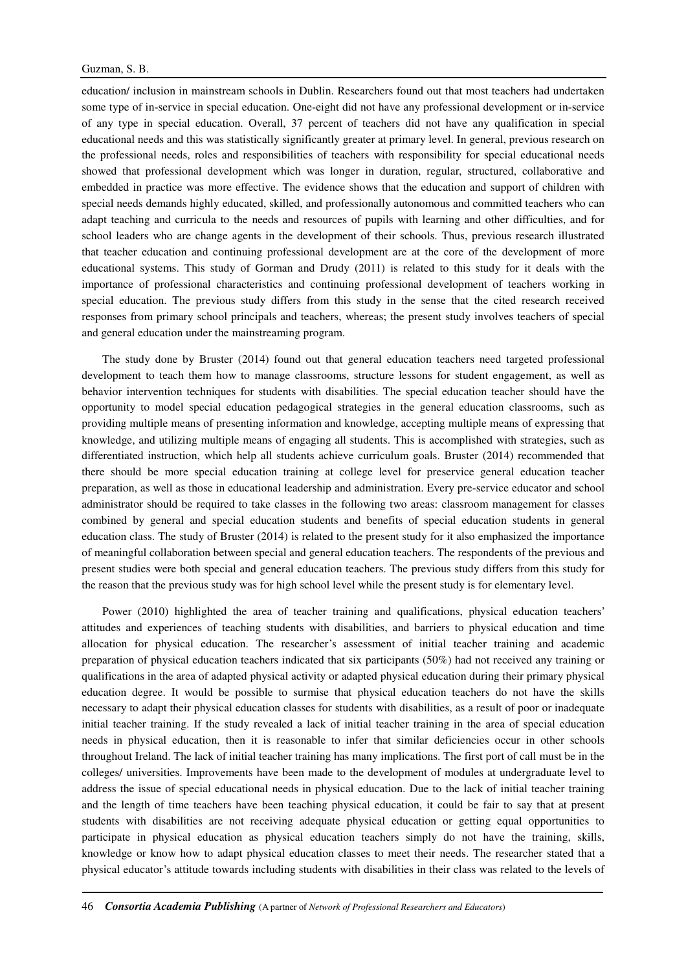education/ inclusion in mainstream schools in Dublin. Researchers found out that most teachers had undertaken some type of in-service in special education. One-eight did not have any professional development or in-service of any type in special education. Overall, 37 percent of teachers did not have any qualification in special educational needs and this was statistically significantly greater at primary level. In general, previous research on the professional needs, roles and responsibilities of teachers with responsibility for special educational needs showed that professional development which was longer in duration, regular, structured, collaborative and embedded in practice was more effective. The evidence shows that the education and support of children with special needs demands highly educated, skilled, and professionally autonomous and committed teachers who can adapt teaching and curricula to the needs and resources of pupils with learning and other difficulties, and for school leaders who are change agents in the development of their schools. Thus, previous research illustrated that teacher education and continuing professional development are at the core of the development of more educational systems. This study of Gorman and Drudy (2011) is related to this study for it deals with the importance of professional characteristics and continuing professional development of teachers working in special education. The previous study differs from this study in the sense that the cited research received responses from primary school principals and teachers, whereas; the present study involves teachers of special and general education under the mainstreaming program.

The study done by Bruster (2014) found out that general education teachers need targeted professional development to teach them how to manage classrooms, structure lessons for student engagement, as well as behavior intervention techniques for students with disabilities. The special education teacher should have the opportunity to model special education pedagogical strategies in the general education classrooms, such as providing multiple means of presenting information and knowledge, accepting multiple means of expressing that knowledge, and utilizing multiple means of engaging all students. This is accomplished with strategies, such as differentiated instruction, which help all students achieve curriculum goals. Bruster (2014) recommended that there should be more special education training at college level for preservice general education teacher preparation, as well as those in educational leadership and administration. Every pre-service educator and school administrator should be required to take classes in the following two areas: classroom management for classes combined by general and special education students and benefits of special education students in general education class. The study of Bruster (2014) is related to the present study for it also emphasized the importance of meaningful collaboration between special and general education teachers. The respondents of the previous and present studies were both special and general education teachers. The previous study differs from this study for the reason that the previous study was for high school level while the present study is for elementary level.

Power (2010) highlighted the area of teacher training and qualifications, physical education teachers' attitudes and experiences of teaching students with disabilities, and barriers to physical education and time allocation for physical education. The researcher's assessment of initial teacher training and academic preparation of physical education teachers indicated that six participants (50%) had not received any training or qualifications in the area of adapted physical activity or adapted physical education during their primary physical education degree. It would be possible to surmise that physical education teachers do not have the skills necessary to adapt their physical education classes for students with disabilities, as a result of poor or inadequate initial teacher training. If the study revealed a lack of initial teacher training in the area of special education needs in physical education, then it is reasonable to infer that similar deficiencies occur in other schools throughout Ireland. The lack of initial teacher training has many implications. The first port of call must be in the colleges/ universities. Improvements have been made to the development of modules at undergraduate level to address the issue of special educational needs in physical education. Due to the lack of initial teacher training and the length of time teachers have been teaching physical education, it could be fair to say that at present students with disabilities are not receiving adequate physical education or getting equal opportunities to participate in physical education as physical education teachers simply do not have the training, skills, knowledge or know how to adapt physical education classes to meet their needs. The researcher stated that a physical educator's attitude towards including students with disabilities in their class was related to the levels of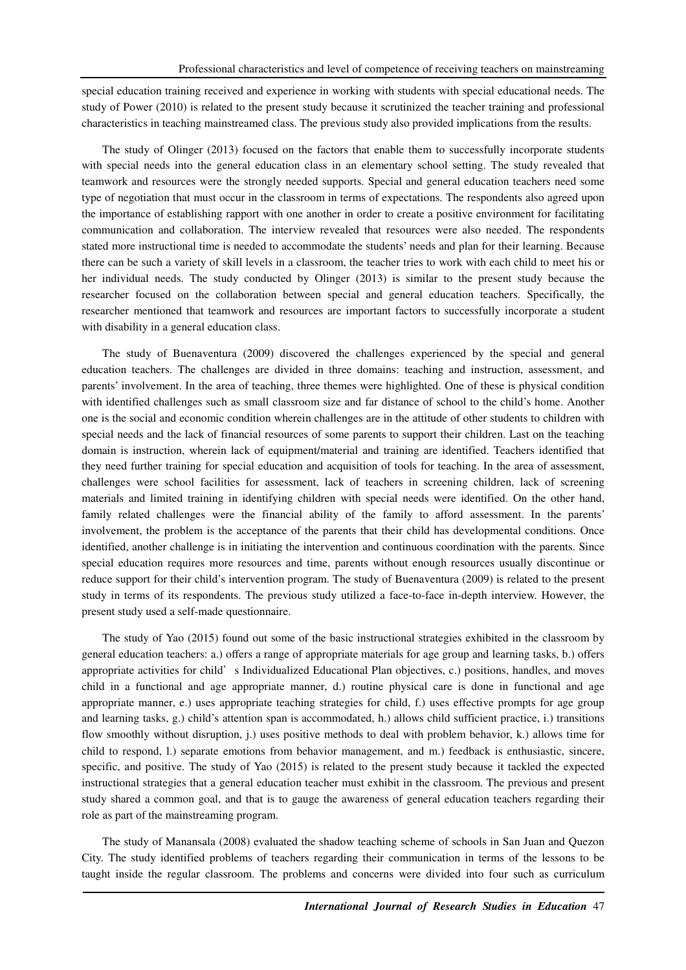special education training received and experience in working with students with special educational needs. The study of Power (2010) is related to the present study because it scrutinized the teacher training and professional characteristics in teaching mainstreamed class. The previous study also provided implications from the results.

The study of Olinger (2013) focused on the factors that enable them to successfully incorporate students with special needs into the general education class in an elementary school setting. The study revealed that teamwork and resources were the strongly needed supports. Special and general education teachers need some type of negotiation that must occur in the classroom in terms of expectations. The respondents also agreed upon the importance of establishing rapport with one another in order to create a positive environment for facilitating communication and collaboration. The interview revealed that resources were also needed. The respondents stated more instructional time is needed to accommodate the students' needs and plan for their learning. Because there can be such a variety of skill levels in a classroom, the teacher tries to work with each child to meet his or her individual needs. The study conducted by Olinger (2013) is similar to the present study because the researcher focused on the collaboration between special and general education teachers. Specifically, the researcher mentioned that teamwork and resources are important factors to successfully incorporate a student with disability in a general education class.

The study of Buenaventura (2009) discovered the challenges experienced by the special and general education teachers. The challenges are divided in three domains: teaching and instruction, assessment, and parents' involvement. In the area of teaching, three themes were highlighted. One of these is physical condition with identified challenges such as small classroom size and far distance of school to the child's home. Another one is the social and economic condition wherein challenges are in the attitude of other students to children with special needs and the lack of financial resources of some parents to support their children. Last on the teaching domain is instruction, wherein lack of equipment/material and training are identified. Teachers identified that they need further training for special education and acquisition of tools for teaching. In the area of assessment, challenges were school facilities for assessment, lack of teachers in screening children, lack of screening materials and limited training in identifying children with special needs were identified. On the other hand, family related challenges were the financial ability of the family to afford assessment. In the parents' involvement, the problem is the acceptance of the parents that their child has developmental conditions. Once identified, another challenge is in initiating the intervention and continuous coordination with the parents. Since special education requires more resources and time, parents without enough resources usually discontinue or reduce support for their child's intervention program. The study of Buenaventura (2009) is related to the present study in terms of its respondents. The previous study utilized a face-to-face in-depth interview. However, the present study used a self-made questionnaire.

The study of Yao (2015) found out some of the basic instructional strategies exhibited in the classroom by general education teachers: a.) offers a range of appropriate materials for age group and learning tasks, b.) offers appropriate activities for child's Individualized Educational Plan objectives, c.) positions, handles, and moves child in a functional and age appropriate manner, d.) routine physical care is done in functional and age appropriate manner, e.) uses appropriate teaching strategies for child, f.) uses effective prompts for age group and learning tasks, g.) child's attention span is accommodated, h.) allows child sufficient practice, i.) transitions flow smoothly without disruption, j.) uses positive methods to deal with problem behavior, k.) allows time for child to respond, l.) separate emotions from behavior management, and m.) feedback is enthusiastic, sincere, specific, and positive. The study of Yao (2015) is related to the present study because it tackled the expected instructional strategies that a general education teacher must exhibit in the classroom. The previous and present study shared a common goal, and that is to gauge the awareness of general education teachers regarding their role as part of the mainstreaming program.

The study of Manansala (2008) evaluated the shadow teaching scheme of schools in San Juan and Quezon City. The study identified problems of teachers regarding their communication in terms of the lessons to be taught inside the regular classroom. The problems and concerns were divided into four such as curriculum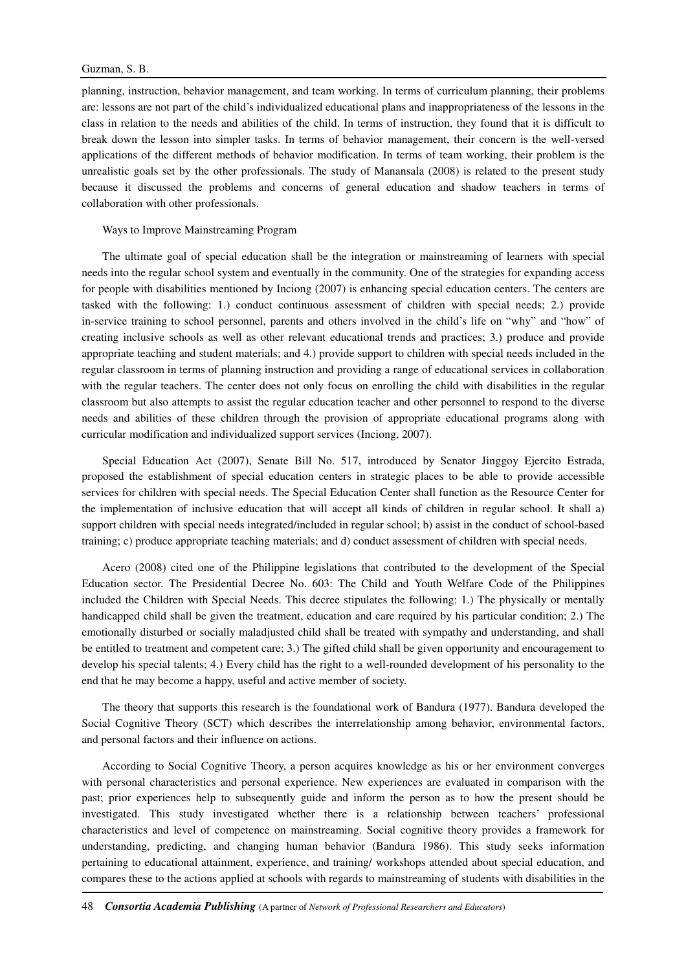planning, instruction, behavior management, and team working. In terms of curriculum planning, their problems are: lessons are not part of the child's individualized educational plans and inappropriateness of the lessons in the class in relation to the needs and abilities of the child. In terms of instruction, they found that it is difficult to break down the lesson into simpler tasks. In terms of behavior management, their concern is the well-versed applications of the different methods of behavior modification. In terms of team working, their problem is the unrealistic goals set by the other professionals. The study of Manansala (2008) is related to the present study because it discussed the problems and concerns of general education and shadow teachers in terms of collaboration with other professionals.

#### Ways to Improve Mainstreaming Program

The ultimate goal of special education shall be the integration or mainstreaming of learners with special needs into the regular school system and eventually in the community. One of the strategies for expanding access for people with disabilities mentioned by Inciong (2007) is enhancing special education centers. The centers are tasked with the following: 1.) conduct continuous assessment of children with special needs; 2.) provide in-service training to school personnel, parents and others involved in the child's life on "why" and "how" of creating inclusive schools as well as other relevant educational trends and practices; 3.) produce and provide appropriate teaching and student materials; and 4.) provide support to children with special needs included in the regular classroom in terms of planning instruction and providing a range of educational services in collaboration with the regular teachers. The center does not only focus on enrolling the child with disabilities in the regular classroom but also attempts to assist the regular education teacher and other personnel to respond to the diverse needs and abilities of these children through the provision of appropriate educational programs along with curricular modification and individualized support services (Inciong, 2007).

Special Education Act (2007), Senate Bill No. 517, introduced by Senator Jinggoy Ejercito Estrada, proposed the establishment of special education centers in strategic places to be able to provide accessible services for children with special needs. The Special Education Center shall function as the Resource Center for the implementation of inclusive education that will accept all kinds of children in regular school. It shall a) support children with special needs integrated/included in regular school; b) assist in the conduct of school-based training; c) produce appropriate teaching materials; and d) conduct assessment of children with special needs.

Acero (2008) cited one of the Philippine legislations that contributed to the development of the Special Education sector. The Presidential Decree No. 603: The Child and Youth Welfare Code of the Philippines included the Children with Special Needs. This decree stipulates the following: 1.) The physically or mentally handicapped child shall be given the treatment, education and care required by his particular condition; 2.) The emotionally disturbed or socially maladjusted child shall be treated with sympathy and understanding, and shall be entitled to treatment and competent care; 3.) The gifted child shall be given opportunity and encouragement to develop his special talents; 4.) Every child has the right to a well-rounded development of his personality to the end that he may become a happy, useful and active member of society.

The theory that supports this research is the foundational work of Bandura (1977). Bandura developed the Social Cognitive Theory (SCT) which describes the interrelationship among behavior, environmental factors, and personal factors and their influence on actions.

According to Social Cognitive Theory, a person acquires knowledge as his or her environment converges with personal characteristics and personal experience. New experiences are evaluated in comparison with the past; prior experiences help to subsequently guide and inform the person as to how the present should be investigated. This study investigated whether there is a relationship between teachers' professional characteristics and level of competence on mainstreaming. Social cognitive theory provides a framework for understanding, predicting, and changing human behavior (Bandura 1986). This study seeks information pertaining to educational attainment, experience, and training/ workshops attended about special education, and compares these to the actions applied at schools with regards to mainstreaming of students with disabilities in the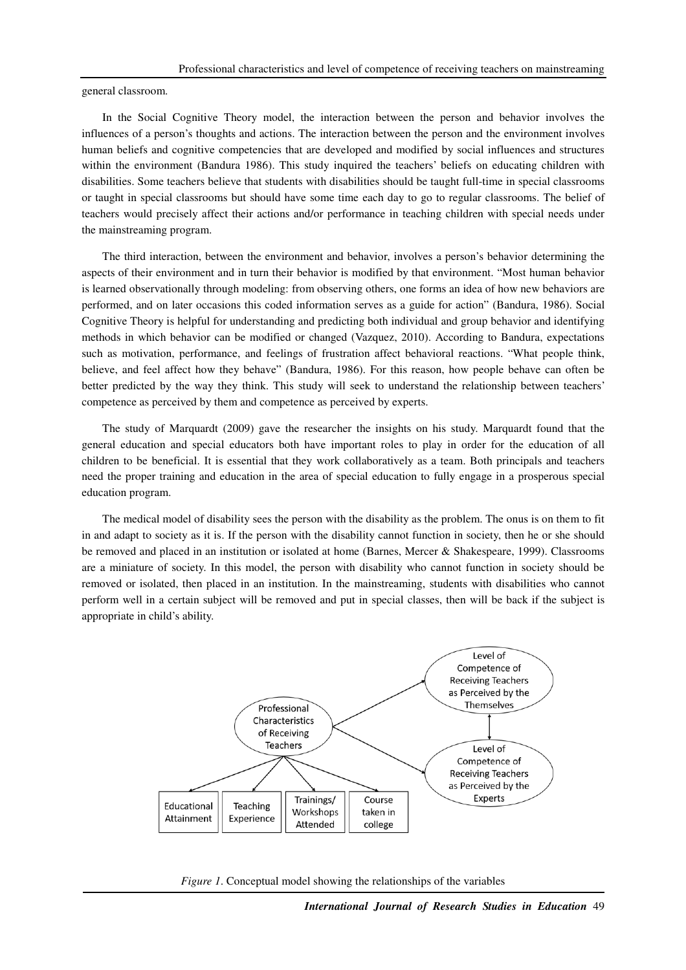general classroom.

In the Social Cognitive Theory model, the interaction between the person and behavior involves the influences of a person's thoughts and actions. The interaction between the person and the environment involves human beliefs and cognitive competencies that are developed and modified by social influences and structures within the environment (Bandura 1986). This study inquired the teachers' beliefs on educating children with disabilities. Some teachers believe that students with disabilities should be taught full-time in special classrooms or taught in special classrooms but should have some time each day to go to regular classrooms. The belief of teachers would precisely affect their actions and/or performance in teaching children with special needs under the mainstreaming program.

The third interaction, between the environment and behavior, involves a person's behavior determining the aspects of their environment and in turn their behavior is modified by that environment. "Most human behavior is learned observationally through modeling: from observing others, one forms an idea of how new behaviors are performed, and on later occasions this coded information serves as a guide for action" (Bandura, 1986). Social Cognitive Theory is helpful for understanding and predicting both individual and group behavior and identifying methods in which behavior can be modified or changed (Vazquez, 2010). According to Bandura, expectations such as motivation, performance, and feelings of frustration affect behavioral reactions. "What people think, believe, and feel affect how they behave" (Bandura, 1986). For this reason, how people behave can often be better predicted by the way they think. This study will seek to understand the relationship between teachers' competence as perceived by them and competence as perceived by experts.

The study of Marquardt (2009) gave the researcher the insights on his study. Marquardt found that the general education and special educators both have important roles to play in order for the education of all children to be beneficial. It is essential that they work collaboratively as a team. Both principals and teachers need the proper training and education in the area of special education to fully engage in a prosperous special education program.

The medical model of disability sees the person with the disability as the problem. The onus is on them to fit in and adapt to society as it is. If the person with the disability cannot function in society, then he or she should be removed and placed in an institution or isolated at home (Barnes, Mercer & Shakespeare, 1999). Classrooms are a miniature of society. In this model, the person with disability who cannot function in society should be removed or isolated, then placed in an institution. In the mainstreaming, students with disabilities who cannot perform well in a certain subject will be removed and put in special classes, then will be back if the subject is appropriate in child's ability.



*Figure 1*. Conceptual model showing the relationships of the variables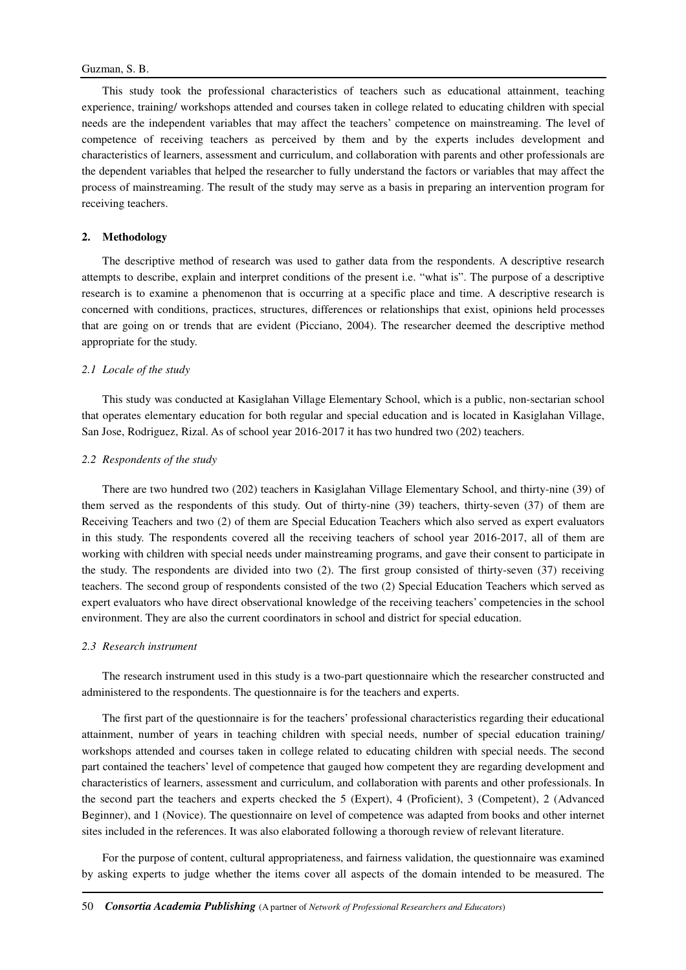This study took the professional characteristics of teachers such as educational attainment, teaching experience, training/ workshops attended and courses taken in college related to educating children with special needs are the independent variables that may affect the teachers' competence on mainstreaming. The level of competence of receiving teachers as perceived by them and by the experts includes development and characteristics of learners, assessment and curriculum, and collaboration with parents and other professionals are the dependent variables that helped the researcher to fully understand the factors or variables that may affect the process of mainstreaming. The result of the study may serve as a basis in preparing an intervention program for receiving teachers.

#### **2. Methodology**

The descriptive method of research was used to gather data from the respondents. A descriptive research attempts to describe, explain and interpret conditions of the present i.e. "what is". The purpose of a descriptive research is to examine a phenomenon that is occurring at a specific place and time. A descriptive research is concerned with conditions, practices, structures, differences or relationships that exist, opinions held processes that are going on or trends that are evident (Picciano, 2004). The researcher deemed the descriptive method appropriate for the study.

#### *2.1 Locale of the study*

This study was conducted at Kasiglahan Village Elementary School, which is a public, non-sectarian school that operates elementary education for both regular and special education and is located in Kasiglahan Village, San Jose, Rodriguez, Rizal. As of school year 2016-2017 it has two hundred two (202) teachers.

### *2.2 Respondents of the study*

There are two hundred two (202) teachers in Kasiglahan Village Elementary School, and thirty-nine (39) of them served as the respondents of this study. Out of thirty-nine (39) teachers, thirty-seven (37) of them are Receiving Teachers and two (2) of them are Special Education Teachers which also served as expert evaluators in this study. The respondents covered all the receiving teachers of school year 2016-2017, all of them are working with children with special needs under mainstreaming programs, and gave their consent to participate in the study. The respondents are divided into two (2). The first group consisted of thirty-seven (37) receiving teachers. The second group of respondents consisted of the two (2) Special Education Teachers which served as expert evaluators who have direct observational knowledge of the receiving teachers' competencies in the school environment. They are also the current coordinators in school and district for special education.

#### *2.3 Research instrument*

The research instrument used in this study is a two-part questionnaire which the researcher constructed and administered to the respondents. The questionnaire is for the teachers and experts.

The first part of the questionnaire is for the teachers' professional characteristics regarding their educational attainment, number of years in teaching children with special needs, number of special education training/ workshops attended and courses taken in college related to educating children with special needs. The second part contained the teachers' level of competence that gauged how competent they are regarding development and characteristics of learners, assessment and curriculum, and collaboration with parents and other professionals. In the second part the teachers and experts checked the 5 (Expert), 4 (Proficient), 3 (Competent), 2 (Advanced Beginner), and 1 (Novice). The questionnaire on level of competence was adapted from books and other internet sites included in the references. It was also elaborated following a thorough review of relevant literature.

For the purpose of content, cultural appropriateness, and fairness validation, the questionnaire was examined by asking experts to judge whether the items cover all aspects of the domain intended to be measured. The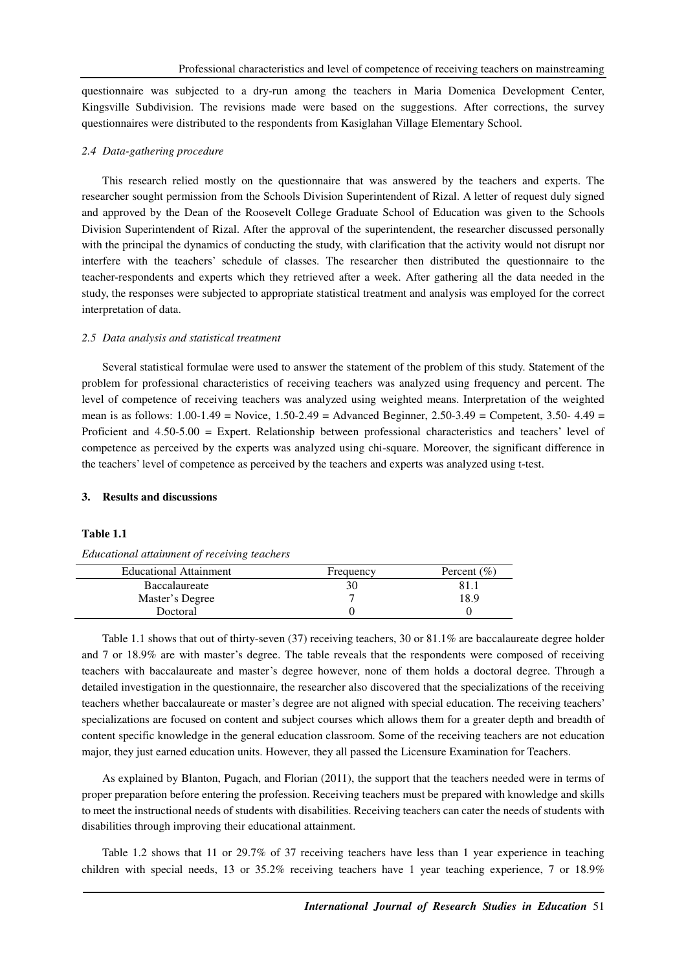questionnaire was subjected to a dry-run among the teachers in Maria Domenica Development Center, Kingsville Subdivision. The revisions made were based on the suggestions. After corrections, the survey questionnaires were distributed to the respondents from Kasiglahan Village Elementary School.

#### *2.4 Data-gathering procedure*

This research relied mostly on the questionnaire that was answered by the teachers and experts. The researcher sought permission from the Schools Division Superintendent of Rizal. A letter of request duly signed and approved by the Dean of the Roosevelt College Graduate School of Education was given to the Schools Division Superintendent of Rizal. After the approval of the superintendent, the researcher discussed personally with the principal the dynamics of conducting the study, with clarification that the activity would not disrupt nor interfere with the teachers' schedule of classes. The researcher then distributed the questionnaire to the teacher-respondents and experts which they retrieved after a week. After gathering all the data needed in the study, the responses were subjected to appropriate statistical treatment and analysis was employed for the correct interpretation of data.

#### *2.5 Data analysis and statistical treatment*

Several statistical formulae were used to answer the statement of the problem of this study. Statement of the problem for professional characteristics of receiving teachers was analyzed using frequency and percent. The level of competence of receiving teachers was analyzed using weighted means. Interpretation of the weighted mean is as follows: 1.00-1.49 = Novice, 1.50-2.49 = Advanced Beginner, 2.50-3.49 = Competent, 3.50- 4.49 = Proficient and 4.50-5.00 = Expert. Relationship between professional characteristics and teachers' level of competence as perceived by the experts was analyzed using chi-square. Moreover, the significant difference in the teachers' level of competence as perceived by the teachers and experts was analyzed using t-test.

### **3. Results and discussions**

#### **Table 1.1**

| Educational attainment of receiving teachers |  |  |
|----------------------------------------------|--|--|
|                                              |  |  |

| <b>Educational Attainment</b> | Frequency | Percent $(\% )$ |
|-------------------------------|-----------|-----------------|
| Baccalaureate                 |           |                 |
| Master's Degree               |           | 18.9            |
| Doctoral                      |           |                 |

Table 1.1 shows that out of thirty-seven (37) receiving teachers, 30 or 81.1% are baccalaureate degree holder and 7 or 18.9% are with master's degree. The table reveals that the respondents were composed of receiving teachers with baccalaureate and master's degree however, none of them holds a doctoral degree. Through a detailed investigation in the questionnaire, the researcher also discovered that the specializations of the receiving teachers whether baccalaureate or master's degree are not aligned with special education. The receiving teachers' specializations are focused on content and subject courses which allows them for a greater depth and breadth of content specific knowledge in the general education classroom. Some of the receiving teachers are not education major, they just earned education units. However, they all passed the Licensure Examination for Teachers.

As explained by Blanton, Pugach, and Florian (2011), the support that the teachers needed were in terms of proper preparation before entering the profession. Receiving teachers must be prepared with knowledge and skills to meet the instructional needs of students with disabilities. Receiving teachers can cater the needs of students with disabilities through improving their educational attainment.

Table 1.2 shows that 11 or 29.7% of 37 receiving teachers have less than 1 year experience in teaching children with special needs, 13 or 35.2% receiving teachers have 1 year teaching experience, 7 or 18.9%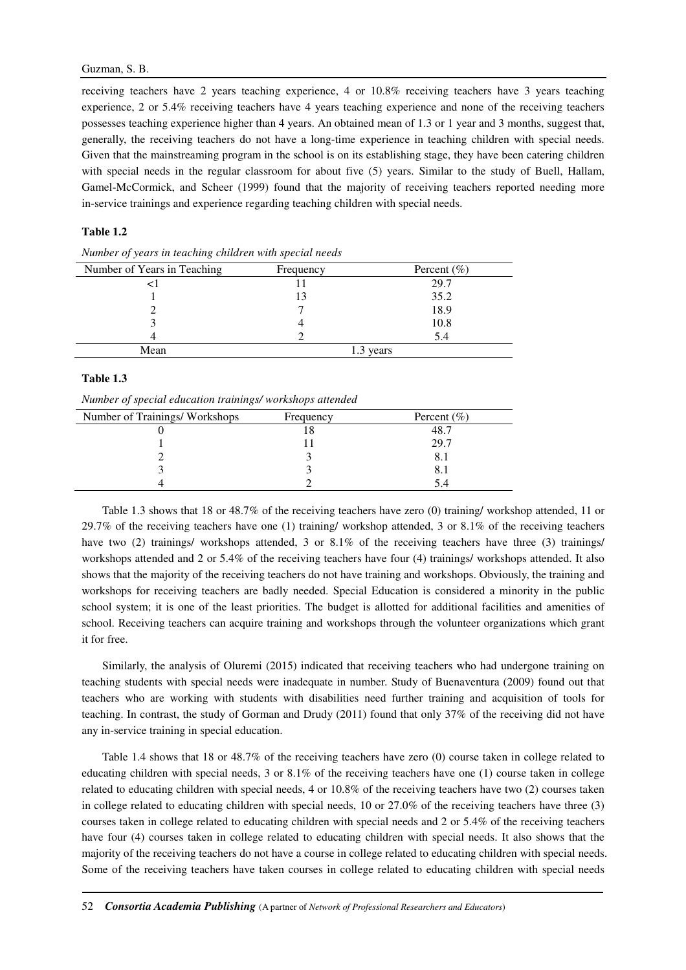receiving teachers have 2 years teaching experience, 4 or 10.8% receiving teachers have 3 years teaching experience, 2 or 5.4% receiving teachers have 4 years teaching experience and none of the receiving teachers possesses teaching experience higher than 4 years. An obtained mean of 1.3 or 1 year and 3 months, suggest that, generally, the receiving teachers do not have a long-time experience in teaching children with special needs. Given that the mainstreaming program in the school is on its establishing stage, they have been catering children with special needs in the regular classroom for about five (5) years. Similar to the study of Buell, Hallam, Gamel-McCormick, and Scheer (1999) found that the majority of receiving teachers reported needing more in-service trainings and experience regarding teaching children with special needs.

### **Table 1.2**

| Number of Years in Teaching | Frequency | Percent $(\% )$ |
|-----------------------------|-----------|-----------------|
|                             |           | 29.7            |
|                             |           | 35.2            |
|                             |           | 18.9            |
|                             |           | 10.8            |
|                             |           | 5.4             |
| Mean                        |           | years           |

*Number of years in teaching children with special needs* 

### **Table 1.3**

*Number of special education trainings/ workshops attended* 

| Number of Trainings/Workshops | Frequency | Percent $(\% )$ |
|-------------------------------|-----------|-----------------|
|                               |           | 48 7            |
|                               |           | 29.7            |
|                               |           |                 |
|                               |           |                 |
|                               |           |                 |
|                               |           |                 |

Table 1.3 shows that 18 or 48.7% of the receiving teachers have zero (0) training/ workshop attended, 11 or 29.7% of the receiving teachers have one (1) training/ workshop attended, 3 or 8.1% of the receiving teachers have two (2) trainings/ workshops attended, 3 or 8.1% of the receiving teachers have three (3) trainings/ workshops attended and 2 or 5.4% of the receiving teachers have four (4) trainings/ workshops attended. It also shows that the majority of the receiving teachers do not have training and workshops. Obviously, the training and workshops for receiving teachers are badly needed. Special Education is considered a minority in the public school system; it is one of the least priorities. The budget is allotted for additional facilities and amenities of school. Receiving teachers can acquire training and workshops through the volunteer organizations which grant it for free.

Similarly, the analysis of Oluremi (2015) indicated that receiving teachers who had undergone training on teaching students with special needs were inadequate in number. Study of Buenaventura (2009) found out that teachers who are working with students with disabilities need further training and acquisition of tools for teaching. In contrast, the study of Gorman and Drudy (2011) found that only 37% of the receiving did not have any in-service training in special education.

Table 1.4 shows that 18 or 48.7% of the receiving teachers have zero (0) course taken in college related to educating children with special needs, 3 or 8.1% of the receiving teachers have one (1) course taken in college related to educating children with special needs, 4 or 10.8% of the receiving teachers have two (2) courses taken in college related to educating children with special needs, 10 or 27.0% of the receiving teachers have three (3) courses taken in college related to educating children with special needs and 2 or 5.4% of the receiving teachers have four (4) courses taken in college related to educating children with special needs. It also shows that the majority of the receiving teachers do not have a course in college related to educating children with special needs. Some of the receiving teachers have taken courses in college related to educating children with special needs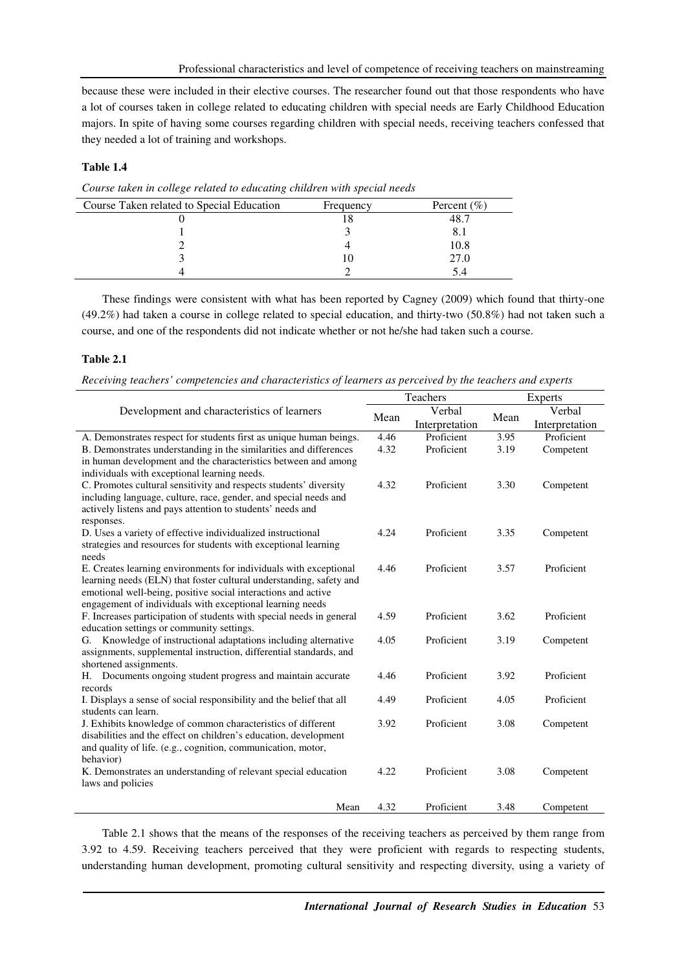because these were included in their elective courses. The researcher found out that those respondents who have a lot of courses taken in college related to educating children with special needs are Early Childhood Education majors. In spite of having some courses regarding children with special needs, receiving teachers confessed that they needed a lot of training and workshops.

# **Table 1.4**

Course Taken related to Special Education Frequency Percent (%) 0  $18$   $48.7$ 1 3 8.1 2 4 10.8 3 10 27.0 4 2 5.4

*Course taken in college related to educating children with special needs* 

These findings were consistent with what has been reported by Cagney (2009) which found that thirty-one (49.2%) had taken a course in college related to special education, and thirty-two (50.8%) had not taken such a course, and one of the respondents did not indicate whether or not he/she had taken such a course.

# **Table 2.1**

*Receiving teachers' competencies and characteristics of learners as perceived by the teachers and experts* 

|                                                                      |      | Teachers       |      | Experts        |  |
|----------------------------------------------------------------------|------|----------------|------|----------------|--|
| Development and characteristics of learners                          | Mean | Verbal         | Mean | Verbal         |  |
|                                                                      |      | Interpretation |      | Interpretation |  |
| A. Demonstrates respect for students first as unique human beings.   | 4.46 | Proficient     | 3.95 | Proficient     |  |
| B. Demonstrates understanding in the similarities and differences    | 4.32 | Proficient     | 3.19 | Competent      |  |
| in human development and the characteristics between and among       |      |                |      |                |  |
| individuals with exceptional learning needs.                         |      |                |      |                |  |
| C. Promotes cultural sensitivity and respects students' diversity    | 4.32 | Proficient     | 3.30 | Competent      |  |
| including language, culture, race, gender, and special needs and     |      |                |      |                |  |
| actively listens and pays attention to students' needs and           |      |                |      |                |  |
| responses.                                                           |      |                |      |                |  |
| D. Uses a variety of effective individualized instructional          | 4.24 | Proficient     | 3.35 | Competent      |  |
| strategies and resources for students with exceptional learning      |      |                |      |                |  |
| needs                                                                |      |                |      |                |  |
| E. Creates learning environments for individuals with exceptional    | 4.46 | Proficient     | 3.57 | Proficient     |  |
| learning needs (ELN) that foster cultural understanding, safety and  |      |                |      |                |  |
| emotional well-being, positive social interactions and active        |      |                |      |                |  |
| engagement of individuals with exceptional learning needs            |      |                |      |                |  |
| F. Increases participation of students with special needs in general | 4.59 | Proficient     | 3.62 | Proficient     |  |
| education settings or community settings.                            |      |                |      |                |  |
| Knowledge of instructional adaptations including alternative<br>G.   | 4.05 | Proficient     | 3.19 | Competent      |  |
| assignments, supplemental instruction, differential standards, and   |      |                |      |                |  |
| shortened assignments.                                               |      |                |      |                |  |
| Documents ongoing student progress and maintain accurate<br>Н.       | 4.46 | Proficient     | 3.92 | Proficient     |  |
| records                                                              |      |                |      |                |  |
| I. Displays a sense of social responsibility and the belief that all | 4.49 | Proficient     | 4.05 | Proficient     |  |
| students can learn.                                                  |      |                |      |                |  |
| J. Exhibits knowledge of common characteristics of different         | 3.92 | Proficient     | 3.08 | Competent      |  |
| disabilities and the effect on children's education, development     |      |                |      |                |  |
| and quality of life. (e.g., cognition, communication, motor,         |      |                |      |                |  |
| behavior)                                                            |      | Proficient     |      |                |  |
| K. Demonstrates an understanding of relevant special education       | 4.22 |                | 3.08 | Competent      |  |
| laws and policies                                                    |      |                |      |                |  |
| Mean                                                                 | 4.32 | Proficient     | 3.48 | Competent      |  |

Table 2.1 shows that the means of the responses of the receiving teachers as perceived by them range from 3.92 to 4.59. Receiving teachers perceived that they were proficient with regards to respecting students, understanding human development, promoting cultural sensitivity and respecting diversity, using a variety of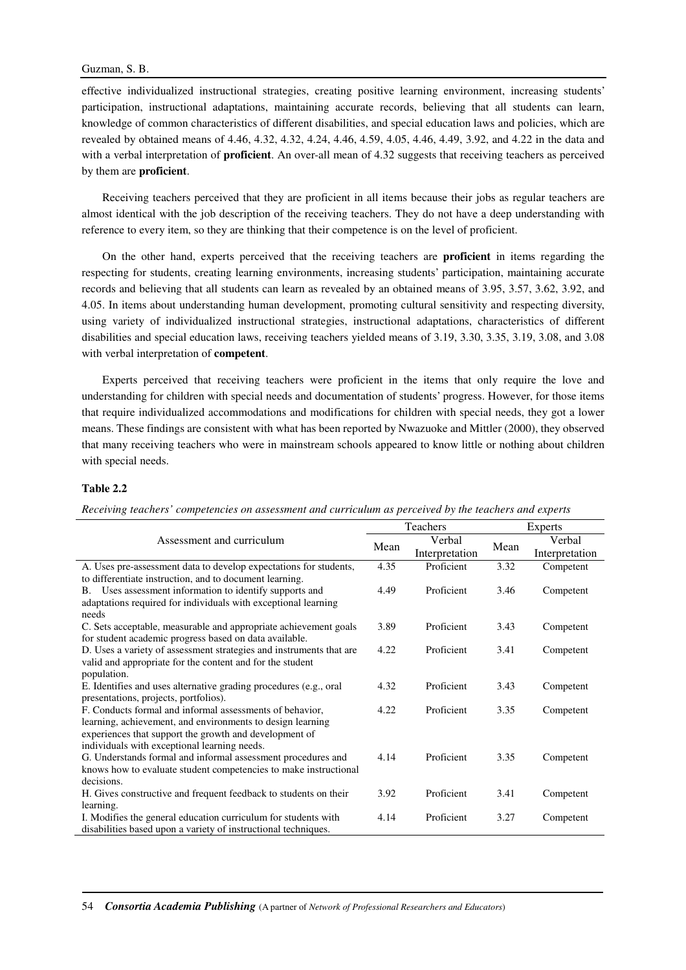effective individualized instructional strategies, creating positive learning environment, increasing students' participation, instructional adaptations, maintaining accurate records, believing that all students can learn, knowledge of common characteristics of different disabilities, and special education laws and policies, which are revealed by obtained means of 4.46, 4.32, 4.32, 4.24, 4.46, 4.59, 4.05, 4.46, 4.49, 3.92, and 4.22 in the data and with a verbal interpretation of **proficient**. An over-all mean of 4.32 suggests that receiving teachers as perceived by them are **proficient**.

Receiving teachers perceived that they are proficient in all items because their jobs as regular teachers are almost identical with the job description of the receiving teachers. They do not have a deep understanding with reference to every item, so they are thinking that their competence is on the level of proficient.

On the other hand, experts perceived that the receiving teachers are **proficient** in items regarding the respecting for students, creating learning environments, increasing students' participation, maintaining accurate records and believing that all students can learn as revealed by an obtained means of 3.95, 3.57, 3.62, 3.92, and 4.05. In items about understanding human development, promoting cultural sensitivity and respecting diversity, using variety of individualized instructional strategies, instructional adaptations, characteristics of different disabilities and special education laws, receiving teachers yielded means of 3.19, 3.30, 3.35, 3.19, 3.08, and 3.08 with verbal interpretation of **competent**.

Experts perceived that receiving teachers were proficient in the items that only require the love and understanding for children with special needs and documentation of students' progress. However, for those items that require individualized accommodations and modifications for children with special needs, they got a lower means. These findings are consistent with what has been reported by Nwazuoke and Mittler (2000), they observed that many receiving teachers who were in mainstream schools appeared to know little or nothing about children with special needs.

### **Table 2.2**

| Assessment and curriculum                                           |      | Teachers       |      | <b>Experts</b> |  |
|---------------------------------------------------------------------|------|----------------|------|----------------|--|
|                                                                     |      | Verbal         |      | Verbal         |  |
|                                                                     |      | Interpretation | Mean | Interpretation |  |
| A. Uses pre-assessment data to develop expectations for students,   | 4.35 | Proficient     | 3.32 | Competent      |  |
| to differentiate instruction, and to document learning.             |      |                |      |                |  |
| Uses assessment information to identify supports and<br>B.          | 4.49 | Proficient     | 3.46 | Competent      |  |
| adaptations required for individuals with exceptional learning      |      |                |      |                |  |
| needs                                                               |      |                |      |                |  |
| C. Sets acceptable, measurable and appropriate achievement goals    | 3.89 | Proficient     | 3.43 | Competent      |  |
| for student academic progress based on data available.              |      |                |      |                |  |
| D. Uses a variety of assessment strategies and instruments that are | 4.22 | Proficient     | 3.41 | Competent      |  |
| valid and appropriate for the content and for the student           |      |                |      |                |  |
| population.                                                         |      |                |      |                |  |
| E. Identifies and uses alternative grading procedures (e.g., oral   | 4.32 | Proficient     | 3.43 | Competent      |  |
| presentations, projects, portfolios).                               |      |                |      |                |  |
| F. Conducts formal and informal assessments of behavior,            | 4.22 | Proficient     | 3.35 | Competent      |  |
| learning, achievement, and environments to design learning          |      |                |      |                |  |
| experiences that support the growth and development of              |      |                |      |                |  |
| individuals with exceptional learning needs.                        |      |                |      |                |  |
| G. Understands formal and informal assessment procedures and        | 4.14 | Proficient     | 3.35 | Competent      |  |
| knows how to evaluate student competencies to make instructional    |      |                |      |                |  |
| decisions.                                                          |      |                |      |                |  |
| H. Gives constructive and frequent feedback to students on their    | 3.92 | Proficient     | 3.41 | Competent      |  |
| learning.                                                           |      |                |      |                |  |
| I. Modifies the general education curriculum for students with      | 4.14 | Proficient     | 3.27 | Competent      |  |
| disabilities based upon a variety of instructional techniques.      |      |                |      |                |  |

*Receiving teachers' competencies on assessment and curriculum as perceived by the teachers and experts*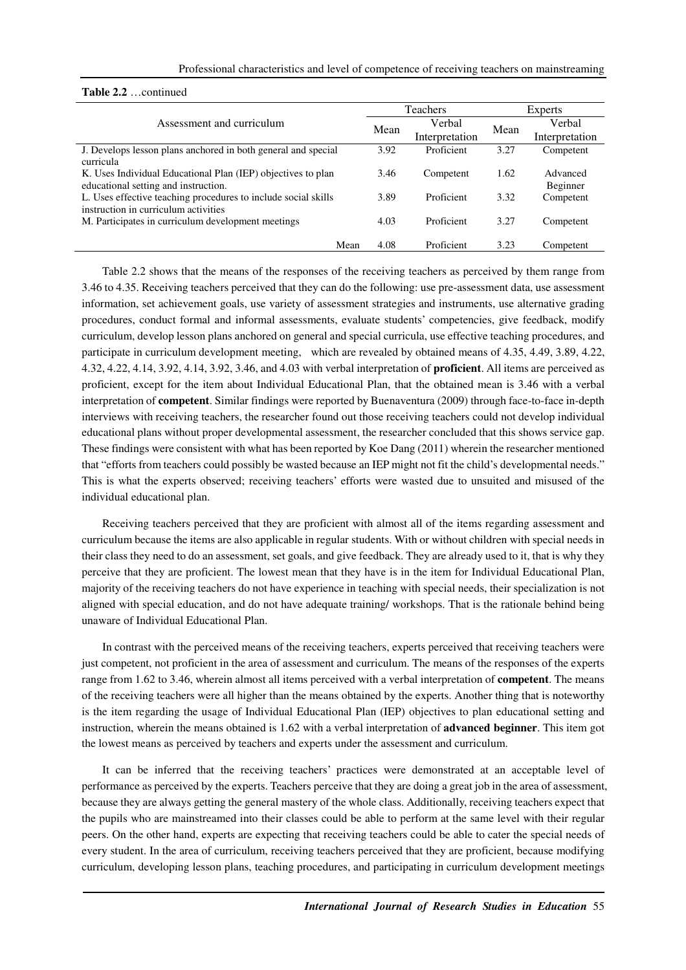### Professional characteristics and level of competence of receiving teachers on mainstreaming

#### **Table 2.2** …continued

|                                                                | Teachers |                | Experts |                |
|----------------------------------------------------------------|----------|----------------|---------|----------------|
| Assessment and curriculum                                      | Mean     | Verbal         | Mean    | Verbal         |
|                                                                |          | Interpretation |         | Interpretation |
| J. Develops lesson plans anchored in both general and special  | 3.92     | Proficient     | 3.27    | Competent      |
| curricula                                                      |          |                |         |                |
| K. Uses Individual Educational Plan (IEP) objectives to plan   | 3.46     | Competent      | 1.62    | Advanced       |
| educational setting and instruction.                           |          |                |         | Beginner       |
| L. Uses effective teaching procedures to include social skills | 3.89     | Proficient     | 3.32    | Competent      |
| instruction in curriculum activities                           |          |                |         |                |
| M. Participates in curriculum development meetings             | 4.03     | Proficient     | 3.27    | Competent      |
|                                                                |          |                |         |                |
| Mean                                                           | 4.08     | Proficient     | 3.23    | Competent      |

Table 2.2 shows that the means of the responses of the receiving teachers as perceived by them range from 3.46 to 4.35. Receiving teachers perceived that they can do the following: use pre-assessment data, use assessment information, set achievement goals, use variety of assessment strategies and instruments, use alternative grading procedures, conduct formal and informal assessments, evaluate students' competencies, give feedback, modify curriculum, develop lesson plans anchored on general and special curricula, use effective teaching procedures, and participate in curriculum development meeting, which are revealed by obtained means of 4.35, 4.49, 3.89, 4.22, 4.32, 4.22, 4.14, 3.92, 4.14, 3.92, 3.46, and 4.03 with verbal interpretation of **proficient**. All items are perceived as proficient, except for the item about Individual Educational Plan, that the obtained mean is 3.46 with a verbal interpretation of **competent**. Similar findings were reported by Buenaventura (2009) through face-to-face in-depth interviews with receiving teachers, the researcher found out those receiving teachers could not develop individual educational plans without proper developmental assessment, the researcher concluded that this shows service gap. These findings were consistent with what has been reported by Koe Dang (2011) wherein the researcher mentioned that "efforts from teachers could possibly be wasted because an IEP might not fit the child's developmental needs." This is what the experts observed; receiving teachers' efforts were wasted due to unsuited and misused of the individual educational plan.

Receiving teachers perceived that they are proficient with almost all of the items regarding assessment and curriculum because the items are also applicable in regular students. With or without children with special needs in their class they need to do an assessment, set goals, and give feedback. They are already used to it, that is why they perceive that they are proficient. The lowest mean that they have is in the item for Individual Educational Plan, majority of the receiving teachers do not have experience in teaching with special needs, their specialization is not aligned with special education, and do not have adequate training/ workshops. That is the rationale behind being unaware of Individual Educational Plan.

In contrast with the perceived means of the receiving teachers, experts perceived that receiving teachers were just competent, not proficient in the area of assessment and curriculum. The means of the responses of the experts range from 1.62 to 3.46, wherein almost all items perceived with a verbal interpretation of **competent**. The means of the receiving teachers were all higher than the means obtained by the experts. Another thing that is noteworthy is the item regarding the usage of Individual Educational Plan (IEP) objectives to plan educational setting and instruction, wherein the means obtained is 1.62 with a verbal interpretation of **advanced beginner**. This item got the lowest means as perceived by teachers and experts under the assessment and curriculum.

It can be inferred that the receiving teachers' practices were demonstrated at an acceptable level of performance as perceived by the experts. Teachers perceive that they are doing a great job in the area of assessment, because they are always getting the general mastery of the whole class. Additionally, receiving teachers expect that the pupils who are mainstreamed into their classes could be able to perform at the same level with their regular peers. On the other hand, experts are expecting that receiving teachers could be able to cater the special needs of every student. In the area of curriculum, receiving teachers perceived that they are proficient, because modifying curriculum, developing lesson plans, teaching procedures, and participating in curriculum development meetings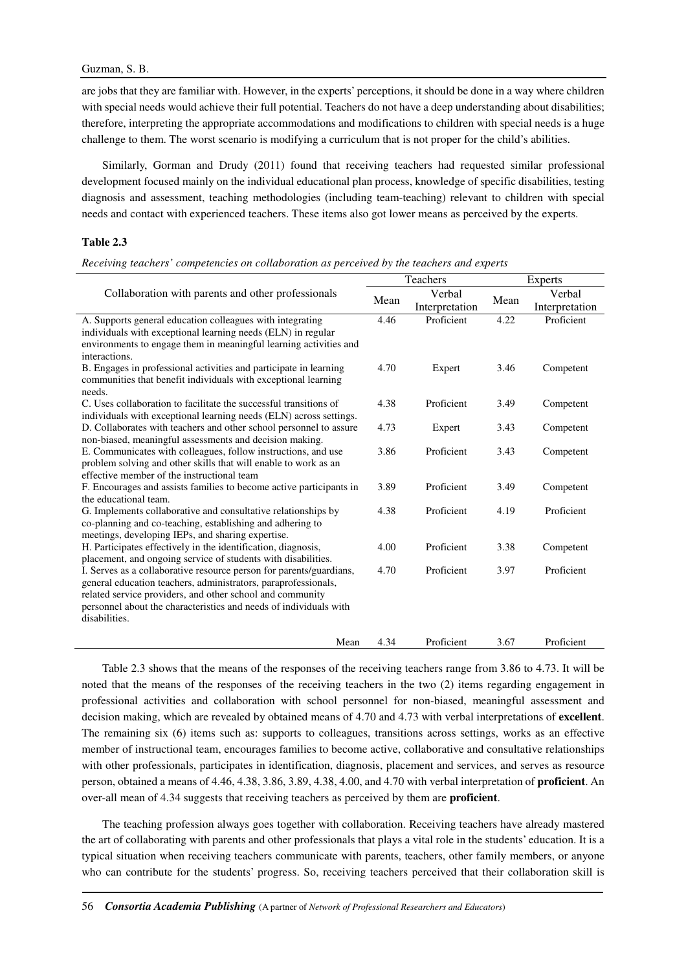are jobs that they are familiar with. However, in the experts' perceptions, it should be done in a way where children with special needs would achieve their full potential. Teachers do not have a deep understanding about disabilities; therefore, interpreting the appropriate accommodations and modifications to children with special needs is a huge challenge to them. The worst scenario is modifying a curriculum that is not proper for the child's abilities.

Similarly, Gorman and Drudy (2011) found that receiving teachers had requested similar professional development focused mainly on the individual educational plan process, knowledge of specific disabilities, testing diagnosis and assessment, teaching methodologies (including team-teaching) relevant to children with special needs and contact with experienced teachers. These items also got lower means as perceived by the experts.

### **Table 2.3**

*Receiving teachers' competencies on collaboration as perceived by the teachers and experts* 

|                                                                                                                                |      | Teachers       |      | <b>Experts</b> |  |
|--------------------------------------------------------------------------------------------------------------------------------|------|----------------|------|----------------|--|
| Collaboration with parents and other professionals                                                                             |      | Verbal         |      | Verbal         |  |
|                                                                                                                                | Mean | Interpretation | Mean | Interpretation |  |
| A. Supports general education colleagues with integrating                                                                      | 4.46 | Proficient     | 4.22 | Proficient     |  |
| individuals with exceptional learning needs (ELN) in regular                                                                   |      |                |      |                |  |
| environments to engage them in meaningful learning activities and                                                              |      |                |      |                |  |
| interactions.                                                                                                                  |      |                |      |                |  |
| B. Engages in professional activities and participate in learning                                                              | 4.70 | Expert         | 3.46 | Competent      |  |
| communities that benefit individuals with exceptional learning                                                                 |      |                |      |                |  |
| needs.                                                                                                                         |      |                |      |                |  |
| C. Uses collaboration to facilitate the successful transitions of                                                              | 4.38 | Proficient     | 3.49 | Competent      |  |
| individuals with exceptional learning needs (ELN) across settings.                                                             |      |                |      |                |  |
| D. Collaborates with teachers and other school personnel to assure                                                             | 4.73 | Expert         | 3.43 | Competent      |  |
| non-biased, meaningful assessments and decision making.                                                                        |      |                |      |                |  |
| E. Communicates with colleagues, follow instructions, and use                                                                  | 3.86 | Proficient     | 3.43 | Competent      |  |
| problem solving and other skills that will enable to work as an                                                                |      |                |      |                |  |
| effective member of the instructional team                                                                                     |      |                |      |                |  |
| F. Encourages and assists families to become active participants in                                                            | 3.89 | Proficient     | 3.49 | Competent      |  |
| the educational team.                                                                                                          |      |                |      |                |  |
| G. Implements collaborative and consultative relationships by                                                                  | 4.38 | Proficient     | 4.19 | Proficient     |  |
| co-planning and co-teaching, establishing and adhering to                                                                      |      |                |      |                |  |
| meetings, developing IEPs, and sharing expertise.                                                                              |      |                |      |                |  |
| H. Participates effectively in the identification, diagnosis,                                                                  | 4.00 | Proficient     | 3.38 | Competent      |  |
| placement, and ongoing service of students with disabilities.                                                                  | 4.70 | Proficient     | 3.97 | Proficient     |  |
| I. Serves as a collaborative resource person for parents/guardians,                                                            |      |                |      |                |  |
| general education teachers, administrators, paraprofessionals,                                                                 |      |                |      |                |  |
| related service providers, and other school and community<br>personnel about the characteristics and needs of individuals with |      |                |      |                |  |
| disabilities.                                                                                                                  |      |                |      |                |  |
|                                                                                                                                |      |                |      |                |  |
| Mean                                                                                                                           | 4.34 | Proficient     | 3.67 | Proficient     |  |

Table 2.3 shows that the means of the responses of the receiving teachers range from 3.86 to 4.73. It will be noted that the means of the responses of the receiving teachers in the two (2) items regarding engagement in professional activities and collaboration with school personnel for non-biased, meaningful assessment and decision making, which are revealed by obtained means of 4.70 and 4.73 with verbal interpretations of **excellent**. The remaining six (6) items such as: supports to colleagues, transitions across settings, works as an effective member of instructional team, encourages families to become active, collaborative and consultative relationships with other professionals, participates in identification, diagnosis, placement and services, and serves as resource person, obtained a means of 4.46, 4.38, 3.86, 3.89, 4.38, 4.00, and 4.70 with verbal interpretation of **proficient**. An over-all mean of 4.34 suggests that receiving teachers as perceived by them are **proficient**.

The teaching profession always goes together with collaboration. Receiving teachers have already mastered the art of collaborating with parents and other professionals that plays a vital role in the students' education. It is a typical situation when receiving teachers communicate with parents, teachers, other family members, or anyone who can contribute for the students' progress. So, receiving teachers perceived that their collaboration skill is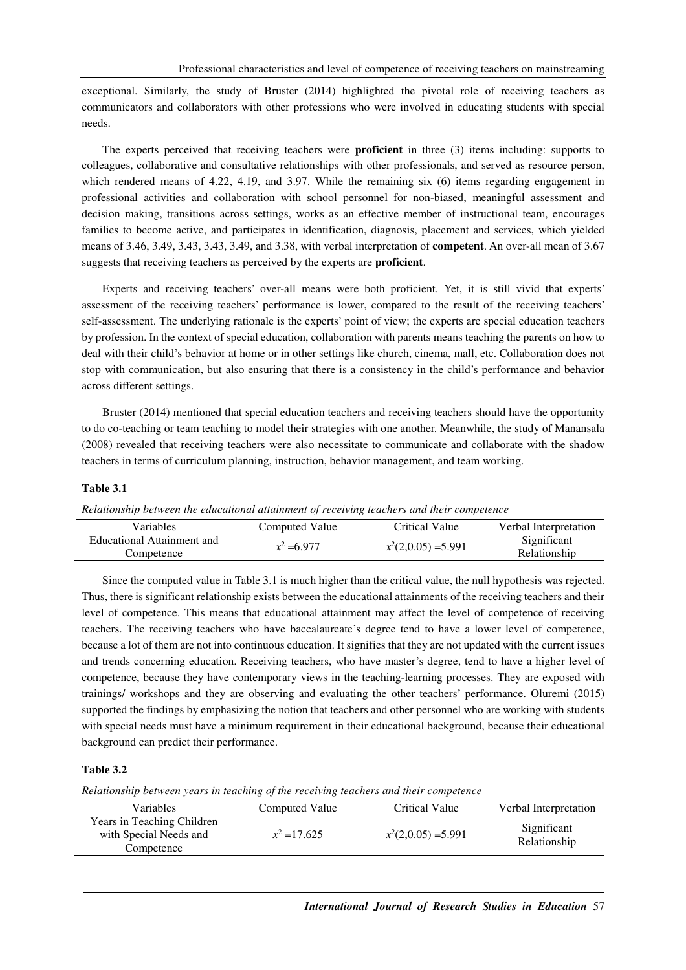exceptional. Similarly, the study of Bruster (2014) highlighted the pivotal role of receiving teachers as communicators and collaborators with other professions who were involved in educating students with special needs.

The experts perceived that receiving teachers were **proficient** in three (3) items including: supports to colleagues, collaborative and consultative relationships with other professionals, and served as resource person, which rendered means of 4.22, 4.19, and 3.97. While the remaining six (6) items regarding engagement in professional activities and collaboration with school personnel for non-biased, meaningful assessment and decision making, transitions across settings, works as an effective member of instructional team, encourages families to become active, and participates in identification, diagnosis, placement and services, which yielded means of 3.46, 3.49, 3.43, 3.43, 3.49, and 3.38, with verbal interpretation of **competent**. An over-all mean of 3.67 suggests that receiving teachers as perceived by the experts are **proficient**.

Experts and receiving teachers' over-all means were both proficient. Yet, it is still vivid that experts' assessment of the receiving teachers' performance is lower, compared to the result of the receiving teachers' self-assessment. The underlying rationale is the experts' point of view; the experts are special education teachers by profession. In the context of special education, collaboration with parents means teaching the parents on how to deal with their child's behavior at home or in other settings like church, cinema, mall, etc. Collaboration does not stop with communication, but also ensuring that there is a consistency in the child's performance and behavior across different settings.

Bruster (2014) mentioned that special education teachers and receiving teachers should have the opportunity to do co-teaching or team teaching to model their strategies with one another. Meanwhile, the study of Manansala (2008) revealed that receiving teachers were also necessitate to communicate and collaborate with the shadow teachers in terms of curriculum planning, instruction, behavior management, and team working.

### **Table 3.1**

*Relationship between the educational attainment of receiving teachers and their competence* 

| Variables                  | Computed Value | Critical Value        | Verbal Interpretation |
|----------------------------|----------------|-----------------------|-----------------------|
| Educational Attainment and | $x^2 = 6.977$  | $x^2(2,0.05) = 5.991$ | Significant           |
| Competence                 |                |                       | Relationship          |

Since the computed value in Table 3.1 is much higher than the critical value, the null hypothesis was rejected. Thus, there is significant relationship exists between the educational attainments of the receiving teachers and their level of competence. This means that educational attainment may affect the level of competence of receiving teachers. The receiving teachers who have baccalaureate's degree tend to have a lower level of competence, because a lot of them are not into continuous education. It signifies that they are not updated with the current issues and trends concerning education. Receiving teachers, who have master's degree, tend to have a higher level of competence, because they have contemporary views in the teaching-learning processes. They are exposed with trainings/ workshops and they are observing and evaluating the other teachers' performance. Oluremi (2015) supported the findings by emphasizing the notion that teachers and other personnel who are working with students with special needs must have a minimum requirement in their educational background, because their educational background can predict their performance.

### **Table 3.2**

*Relationship between years in teaching of the receiving teachers and their competence* 

| <b>Variables</b>                                                   | Computed Value | Critical Value        | Verbal Interpretation       |
|--------------------------------------------------------------------|----------------|-----------------------|-----------------------------|
| Years in Teaching Children<br>with Special Needs and<br>Competence | $x^2 = 17.625$ | $x^2(2,0.05) = 5.991$ | Significant<br>Relationship |
|                                                                    |                |                       |                             |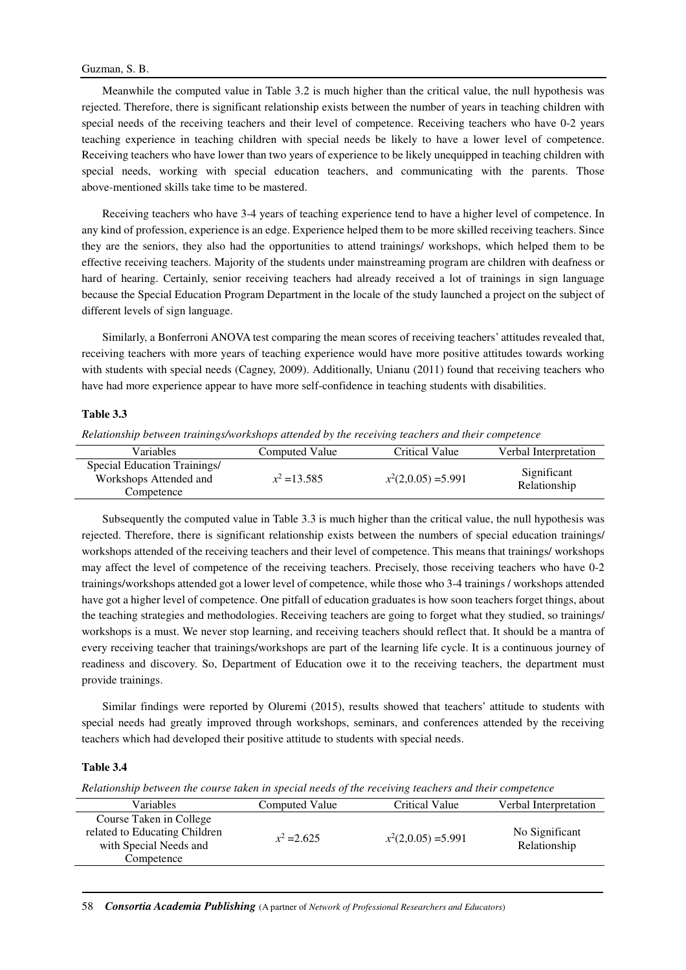Meanwhile the computed value in Table 3.2 is much higher than the critical value, the null hypothesis was rejected. Therefore, there is significant relationship exists between the number of years in teaching children with special needs of the receiving teachers and their level of competence. Receiving teachers who have 0-2 years teaching experience in teaching children with special needs be likely to have a lower level of competence. Receiving teachers who have lower than two years of experience to be likely unequipped in teaching children with special needs, working with special education teachers, and communicating with the parents. Those above-mentioned skills take time to be mastered.

Receiving teachers who have 3-4 years of teaching experience tend to have a higher level of competence. In any kind of profession, experience is an edge. Experience helped them to be more skilled receiving teachers. Since they are the seniors, they also had the opportunities to attend trainings/ workshops, which helped them to be effective receiving teachers. Majority of the students under mainstreaming program are children with deafness or hard of hearing. Certainly, senior receiving teachers had already received a lot of trainings in sign language because the Special Education Program Department in the locale of the study launched a project on the subject of different levels of sign language.

Similarly, a Bonferroni ANOVA test comparing the mean scores of receiving teachers' attitudes revealed that, receiving teachers with more years of teaching experience would have more positive attitudes towards working with students with special needs (Cagney, 2009). Additionally, Unianu (2011) found that receiving teachers who have had more experience appear to have more self-confidence in teaching students with disabilities.

### **Table 3.3**

*Relationship between trainings/workshops attended by the receiving teachers and their competence* 

| <b>Variables</b>                                                     | Computed Value | Critical Value        | Verbal Interpretation       |
|----------------------------------------------------------------------|----------------|-----------------------|-----------------------------|
| Special Education Trainings/<br>Workshops Attended and<br>Competence | $x^2 = 13.585$ | $x^2(2,0.05) = 5.991$ | Significant<br>Relationship |

Subsequently the computed value in Table 3.3 is much higher than the critical value, the null hypothesis was rejected. Therefore, there is significant relationship exists between the numbers of special education trainings/ workshops attended of the receiving teachers and their level of competence. This means that trainings/ workshops may affect the level of competence of the receiving teachers. Precisely, those receiving teachers who have 0-2 trainings/workshops attended got a lower level of competence, while those who 3-4 trainings / workshops attended have got a higher level of competence. One pitfall of education graduates is how soon teachers forget things, about the teaching strategies and methodologies. Receiving teachers are going to forget what they studied, so trainings/ workshops is a must. We never stop learning, and receiving teachers should reflect that. It should be a mantra of every receiving teacher that trainings/workshops are part of the learning life cycle. It is a continuous journey of readiness and discovery. So, Department of Education owe it to the receiving teachers, the department must provide trainings.

Similar findings were reported by Oluremi (2015), results showed that teachers' attitude to students with special needs had greatly improved through workshops, seminars, and conferences attended by the receiving teachers which had developed their positive attitude to students with special needs.

# **Table 3.4**

*Relationship between the course taken in special needs of the receiving teachers and their competence* 

| <b>Variables</b>                                                                                 | Computed Value | Critical Value        | Verbal Interpretation          |
|--------------------------------------------------------------------------------------------------|----------------|-----------------------|--------------------------------|
| Course Taken in College<br>related to Educating Children<br>with Special Needs and<br>Competence | $x^2 = 2.625$  | $x^2(2,0.05) = 5.991$ | No Significant<br>Relationship |
|                                                                                                  |                |                       |                                |

58 *Consortia Academia Publishing* (A partner of *Network of Professional Researchers and Educators*)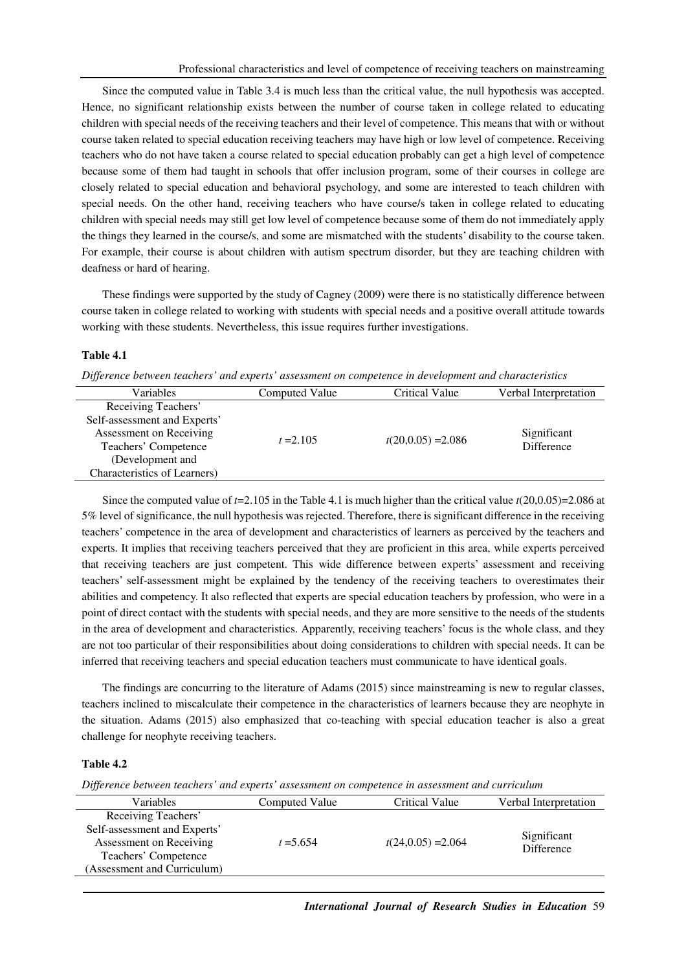Since the computed value in Table 3.4 is much less than the critical value, the null hypothesis was accepted. Hence, no significant relationship exists between the number of course taken in college related to educating children with special needs of the receiving teachers and their level of competence. This means that with or without course taken related to special education receiving teachers may have high or low level of competence. Receiving teachers who do not have taken a course related to special education probably can get a high level of competence because some of them had taught in schools that offer inclusion program, some of their courses in college are closely related to special education and behavioral psychology, and some are interested to teach children with special needs. On the other hand, receiving teachers who have course/s taken in college related to educating children with special needs may still get low level of competence because some of them do not immediately apply the things they learned in the course/s, and some are mismatched with the students' disability to the course taken. For example, their course is about children with autism spectrum disorder, but they are teaching children with deafness or hard of hearing.

These findings were supported by the study of Cagney (2009) were there is no statistically difference between course taken in college related to working with students with special needs and a positive overall attitude towards working with these students. Nevertheless, this issue requires further investigations.

# **Table 4.1**

| Difference between teachers' and experts' assessment on competence in development and characteristics |  |  |
|-------------------------------------------------------------------------------------------------------|--|--|
|                                                                                                       |  |  |

| Variables                                                                                                                                                  | Computed Value | Critical Value       | Verbal Interpretation     |
|------------------------------------------------------------------------------------------------------------------------------------------------------------|----------------|----------------------|---------------------------|
| Receiving Teachers'<br>Self-assessment and Experts'<br>Assessment on Receiving<br>Teachers' Competence<br>(Development and<br>Characteristics of Learners) | $t = 2.105$    | $t(20,0.05) = 2.086$ | Significant<br>Difference |

Since the computed value of *t*=2.105 in the Table 4.1 is much higher than the critical value *t*(20,0.05)=2.086 at 5% level of significance, the null hypothesis was rejected. Therefore, there is significant difference in the receiving teachers' competence in the area of development and characteristics of learners as perceived by the teachers and experts. It implies that receiving teachers perceived that they are proficient in this area, while experts perceived that receiving teachers are just competent. This wide difference between experts' assessment and receiving teachers' self-assessment might be explained by the tendency of the receiving teachers to overestimates their abilities and competency. It also reflected that experts are special education teachers by profession, who were in a point of direct contact with the students with special needs, and they are more sensitive to the needs of the students in the area of development and characteristics. Apparently, receiving teachers' focus is the whole class, and they are not too particular of their responsibilities about doing considerations to children with special needs. It can be inferred that receiving teachers and special education teachers must communicate to have identical goals.

The findings are concurring to the literature of Adams (2015) since mainstreaming is new to regular classes, teachers inclined to miscalculate their competence in the characteristics of learners because they are neophyte in the situation. Adams (2015) also emphasized that co-teaching with special education teacher is also a great challenge for neophyte receiving teachers.

# **Table 4.2**

*Difference between teachers' and experts' assessment on competence in assessment and curriculum* 

| <b>Variables</b>             | Computed Value | Critical Value       | Verbal Interpretation     |
|------------------------------|----------------|----------------------|---------------------------|
| Receiving Teachers'          |                |                      |                           |
| Self-assessment and Experts' |                |                      |                           |
| Assessment on Receiving      | $t = 5.654$    | $t(24,0.05) = 2.064$ | Significant<br>Difference |
| Teachers' Competence         |                |                      |                           |
| (Assessment and Curriculum)  |                |                      |                           |
|                              |                |                      |                           |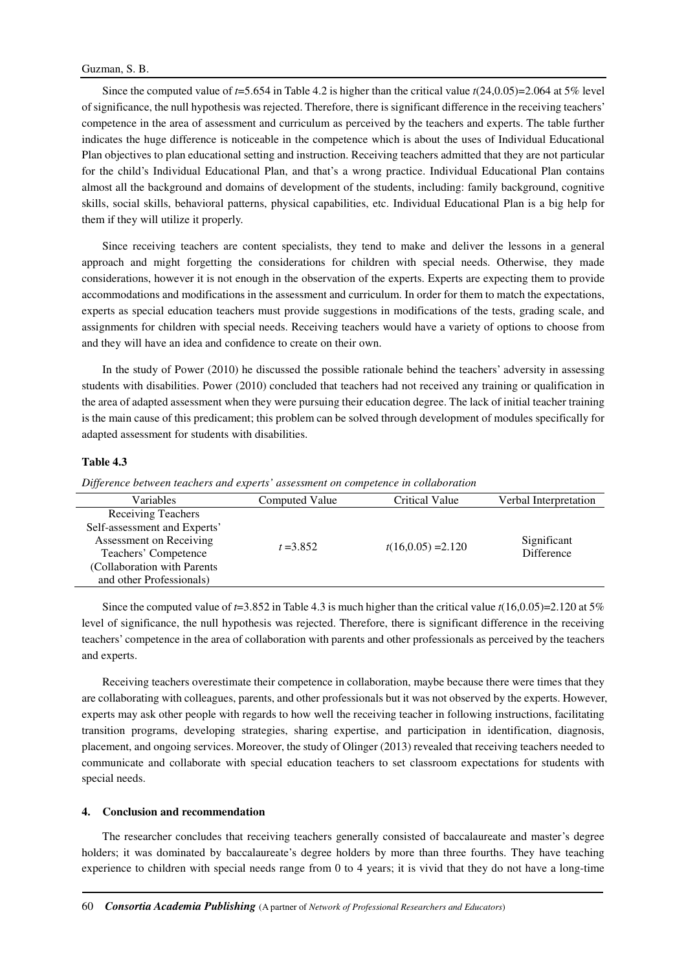Since the computed value of *t*=5.654 in Table 4.2 is higher than the critical value *t*(24,0.05)=2.064 at 5% level of significance, the null hypothesis was rejected. Therefore, there is significant difference in the receiving teachers' competence in the area of assessment and curriculum as perceived by the teachers and experts. The table further indicates the huge difference is noticeable in the competence which is about the uses of Individual Educational Plan objectives to plan educational setting and instruction. Receiving teachers admitted that they are not particular for the child's Individual Educational Plan, and that's a wrong practice. Individual Educational Plan contains almost all the background and domains of development of the students, including: family background, cognitive skills, social skills, behavioral patterns, physical capabilities, etc. Individual Educational Plan is a big help for them if they will utilize it properly.

Since receiving teachers are content specialists, they tend to make and deliver the lessons in a general approach and might forgetting the considerations for children with special needs. Otherwise, they made considerations, however it is not enough in the observation of the experts. Experts are expecting them to provide accommodations and modifications in the assessment and curriculum. In order for them to match the expectations, experts as special education teachers must provide suggestions in modifications of the tests, grading scale, and assignments for children with special needs. Receiving teachers would have a variety of options to choose from and they will have an idea and confidence to create on their own.

In the study of Power (2010) he discussed the possible rationale behind the teachers' adversity in assessing students with disabilities. Power (2010) concluded that teachers had not received any training or qualification in the area of adapted assessment when they were pursuing their education degree. The lack of initial teacher training is the main cause of this predicament; this problem can be solved through development of modules specifically for adapted assessment for students with disabilities.

# **Table 4.3**

*Difference between teachers and experts' assessment on competence in collaboration* 

| Variables                    | <b>Computed Value</b> | Critical Value       | Verbal Interpretation            |
|------------------------------|-----------------------|----------------------|----------------------------------|
| <b>Receiving Teachers</b>    |                       |                      |                                  |
| Self-assessment and Experts' | $t = 3.852$           | $t(16,0.05) = 2.120$ | Significant<br><b>Difference</b> |
| Assessment on Receiving      |                       |                      |                                  |
| Teachers' Competence         |                       |                      |                                  |
| (Collaboration with Parents  |                       |                      |                                  |
| and other Professionals)     |                       |                      |                                  |
|                              |                       |                      |                                  |

Since the computed value of *t*=3.852 in Table 4.3 is much higher than the critical value *t*(16,0.05)=2.120 at 5% level of significance, the null hypothesis was rejected. Therefore, there is significant difference in the receiving teachers' competence in the area of collaboration with parents and other professionals as perceived by the teachers and experts.

Receiving teachers overestimate their competence in collaboration, maybe because there were times that they are collaborating with colleagues, parents, and other professionals but it was not observed by the experts. However, experts may ask other people with regards to how well the receiving teacher in following instructions, facilitating transition programs, developing strategies, sharing expertise, and participation in identification, diagnosis, placement, and ongoing services. Moreover, the study of Olinger (2013) revealed that receiving teachers needed to communicate and collaborate with special education teachers to set classroom expectations for students with special needs.

# **4. Conclusion and recommendation**

The researcher concludes that receiving teachers generally consisted of baccalaureate and master's degree holders; it was dominated by baccalaureate's degree holders by more than three fourths. They have teaching experience to children with special needs range from 0 to 4 years; it is vivid that they do not have a long-time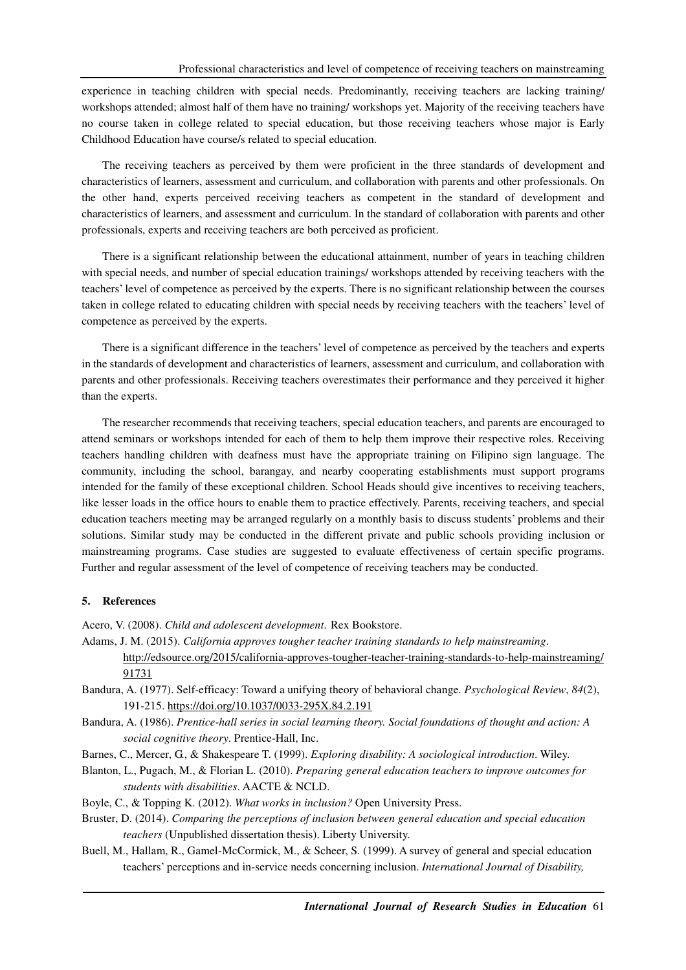experience in teaching children with special needs. Predominantly, receiving teachers are lacking training/ workshops attended; almost half of them have no training/ workshops yet. Majority of the receiving teachers have no course taken in college related to special education, but those receiving teachers whose major is Early Childhood Education have course/s related to special education.

The receiving teachers as perceived by them were proficient in the three standards of development and characteristics of learners, assessment and curriculum, and collaboration with parents and other professionals. On the other hand, experts perceived receiving teachers as competent in the standard of development and characteristics of learners, and assessment and curriculum. In the standard of collaboration with parents and other professionals, experts and receiving teachers are both perceived as proficient.

There is a significant relationship between the educational attainment, number of years in teaching children with special needs, and number of special education trainings/ workshops attended by receiving teachers with the teachers' level of competence as perceived by the experts. There is no significant relationship between the courses taken in college related to educating children with special needs by receiving teachers with the teachers' level of competence as perceived by the experts.

There is a significant difference in the teachers' level of competence as perceived by the teachers and experts in the standards of development and characteristics of learners, assessment and curriculum, and collaboration with parents and other professionals. Receiving teachers overestimates their performance and they perceived it higher than the experts.

The researcher recommends that receiving teachers, special education teachers, and parents are encouraged to attend seminars or workshops intended for each of them to help them improve their respective roles. Receiving teachers handling children with deafness must have the appropriate training on Filipino sign language. The community, including the school, barangay, and nearby cooperating establishments must support programs intended for the family of these exceptional children. School Heads should give incentives to receiving teachers, like lesser loads in the office hours to enable them to practice effectively. Parents, receiving teachers, and special education teachers meeting may be arranged regularly on a monthly basis to discuss students' problems and their solutions. Similar study may be conducted in the different private and public schools providing inclusion or mainstreaming programs. Case studies are suggested to evaluate effectiveness of certain specific programs. Further and regular assessment of the level of competence of receiving teachers may be conducted.

### **5. References**

Acero, V. (2008). *Child and adolescent development*. Rex Bookstore.

- Adams, J. M. (2015). *California approves tougher teacher training standards to help mainstreaming*. http://edsource.org/2015/california-approves-tougher-teacher-training-standards-to-help-mainstreaming/ 91731
- Bandura, A. (1977). Self-efficacy: Toward a unifying theory of behavioral change. *Psychological Review*, *84*(2), 191-215. https://doi.org/10.1037/0033-295X.84.2.191
- Bandura, A. (1986). *Prentice-hall series in social learning theory. Social foundations of thought and action: A social cognitive theory*. Prentice-Hall, Inc.
- Barnes, C., Mercer, G., & Shakespeare T. (1999). *Exploring disability: A sociological introduction*. Wiley.
- Blanton, L., Pugach, M., & Florian L. (2010). *Preparing general education teachers to improve outcomes for students with disabilities*. AACTE & NCLD.
- Boyle, C., & Topping K. (2012). *What works in inclusion?* Open University Press.
- Bruster, D. (2014). *Comparing the perceptions of inclusion between general education and special education teachers* (Unpublished dissertation thesis). Liberty University.
- Buell, M., Hallam, R., Gamel-McCormick, M., & Scheer, S. (1999). A survey of general and special education teachers' perceptions and in-service needs concerning inclusion. *International Journal of Disability,*